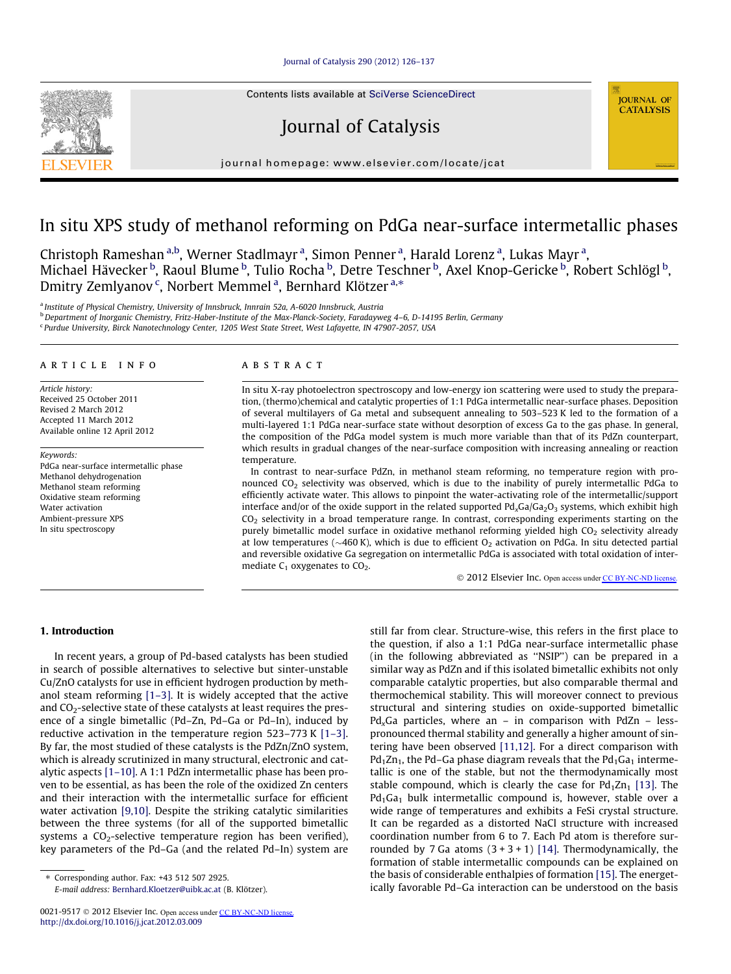## [Journal of Catalysis 290 \(2012\) 126–137](http://dx.doi.org/10.1016/j.jcat.2012.03.009)

Contents lists available at [SciVerse ScienceDirect](http://www.sciencedirect.com/science/journal/00219517)

# Journal of Catalysis

journal homepage: [www.elsevier.com/locate/jcat](http://www.elsevier.com/locate/jcat)

# In situ XPS study of methanol reforming on PdGa near-surface intermetallic phases

Christoph Rameshan <sup>a,b</sup>, Werner Stadlmayr <sup>a</sup>, Simon Penner <sup>a</sup>, Harald Lorenz <sup>a</sup>, Lukas Mayr <sup>a</sup>, Michael Hävecker <sup>b</sup>, Raoul Blume <sup>b</sup>, Tulio Rocha <sup>b</sup>, Detre Teschner <sup>b</sup>, Axel Knop-Gericke <sup>b</sup>, Robert Schlögl <sup>b</sup>, Dmitry Zemlyanov<sup>c</sup>, Norbert Memmel<sup>a</sup>, Bernhard Klötzer<sup>a,\*</sup>

<sup>a</sup> Institute of Physical Chemistry, University of Innsbruck, Innrain 52a, A-6020 Innsbruck, Austria

b<br>b Department of Inorganic Chemistry, Fritz-Haber-Institute of the Max-Planck-Society, Faradayweg 4–6, D-14195 Berlin, Germany

<sup>c</sup> Purdue University, Birck Nanotechnology Center, 1205 West State Street, West Lafayette, IN 47907-2057, USA

#### article info

Article history: Received 25 October 2011 Revised 2 March 2012 Accepted 11 March 2012 Available online 12 April 2012

Keywords: PdGa near-surface intermetallic phase Methanol dehydrogenation Methanol steam reforming Oxidative steam reforming Water activation Ambient-pressure XPS In situ spectroscopy

## **ABSTRACT**

In situ X-ray photoelectron spectroscopy and low-energy ion scattering were used to study the preparation, (thermo)chemical and catalytic properties of 1:1 PdGa intermetallic near-surface phases. Deposition of several multilayers of Ga metal and subsequent annealing to 503–523 K led to the formation of a multi-layered 1:1 PdGa near-surface state without desorption of excess Ga to the gas phase. In general, the composition of the PdGa model system is much more variable than that of its PdZn counterpart, which results in gradual changes of the near-surface composition with increasing annealing or reaction temperature.

In contrast to near-surface PdZn, in methanol steam reforming, no temperature region with pronounced CO2 selectivity was observed, which is due to the inability of purely intermetallic PdGa to efficiently activate water. This allows to pinpoint the water-activating role of the intermetallic/support interface and/or of the oxide support in the related supported  $Pd_{x}Ga/Ga_{2}O_{3}$  systems, which exhibit high CO2 selectivity in a broad temperature range. In contrast, corresponding experiments starting on the purely bimetallic model surface in oxidative methanol reforming yielded high  $CO<sub>2</sub>$  selectivity already at low temperatures ( $\sim$ 460 K), which is due to efficient O<sub>2</sub> activation on PdGa. In situ detected partial and reversible oxidative Ga segregation on intermetallic PdGa is associated with total oxidation of intermediate  $C_1$  oxygenates to  $CO_2$ .

© 2012 Elsevier Inc. Open access under [CC BY-NC-ND license.](http://creativecommons.org/licenses/by-nc-nd/3.0/)

**JOURNAL OF CATALYSIS** 

# 1. Introduction

In recent years, a group of Pd-based catalysts has been studied in search of possible alternatives to selective but sinter-unstable Cu/ZnO catalysts for use in efficient hydrogen production by methanol steam reforming [\[1–3\]](#page-11-0). It is widely accepted that the active and  $CO<sub>2</sub>$ -selective state of these catalysts at least requires the presence of a single bimetallic (Pd–Zn, Pd–Ga or Pd–In), induced by reductive activation in the temperature region 523–773 K [\[1–3\].](#page-11-0) By far, the most studied of these catalysts is the PdZn/ZnO system, which is already scrutinized in many structural, electronic and catalytic aspects [\[1–10\]](#page-11-0). A 1:1 PdZn intermetallic phase has been proven to be essential, as has been the role of the oxidized Zn centers and their interaction with the intermetallic surface for efficient water activation [\[9,10\].](#page-11-0) Despite the striking catalytic similarities between the three systems (for all of the supported bimetallic systems a  $CO<sub>2</sub>$ -selective temperature region has been verified), key parameters of the Pd–Ga (and the related Pd–In) system are

⇑ Corresponding author. Fax: +43 512 507 2925. E-mail address: [Bernhard.Kloetzer@uibk.ac.at](mailto:Bernhard.Kloetzer@uibk.ac.at) (B. Klötzer). still far from clear. Structure-wise, this refers in the first place to the question, if also a 1:1 PdGa near-surface intermetallic phase (in the following abbreviated as ''NSIP'') can be prepared in a similar way as PdZn and if this isolated bimetallic exhibits not only comparable catalytic properties, but also comparable thermal and thermochemical stability. This will moreover connect to previous structural and sintering studies on oxide-supported bimetallic Pd<sub>x</sub>Ga particles, where an – in comparison with PdZn – lesspronounced thermal stability and generally a higher amount of sintering have been observed [\[11,12\]](#page-11-0). For a direct comparison with  $Pd_1Zn_1$ , the Pd–Ga phase diagram reveals that the Pd<sub>1</sub>Ga<sub>1</sub> intermetallic is one of the stable, but not the thermodynamically most stable compound, which is clearly the case for  $Pd_1Zn_1$  [\[13\]](#page-11-0). The  $Pd_1Ga_1$  bulk intermetallic compound is, however, stable over a wide range of temperatures and exhibits a FeSi crystal structure. It can be regarded as a distorted NaCl structure with increased coordination number from 6 to 7. Each Pd atom is therefore surrounded by 7 Ga atoms  $(3 + 3 + 1)$  [\[14\].](#page-11-0) Thermodynamically, the formation of stable intermetallic compounds can be explained on the basis of considerable enthalpies of formation [\[15\]](#page-11-0). The energetically favorable Pd–Ga interaction can be understood on the basis

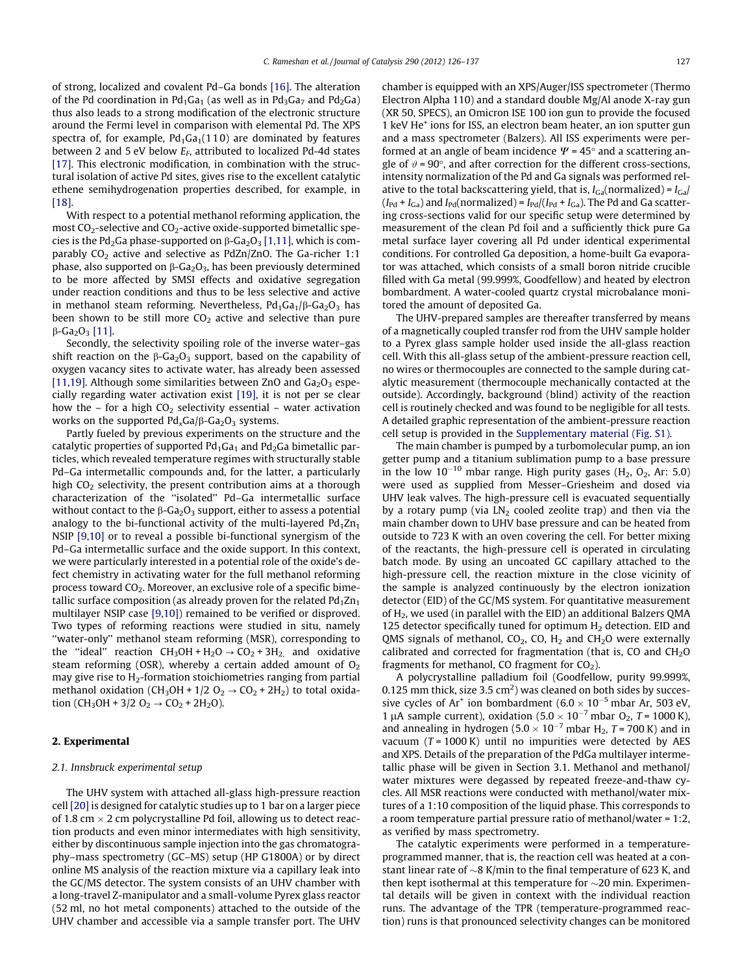of strong, localized and covalent Pd–Ga bonds [\[16\].](#page-11-0) The alteration of the Pd coordination in Pd<sub>1</sub>Ga<sub>1</sub> (as well as in Pd<sub>3</sub>Ga<sub>7</sub> and Pd<sub>2</sub>Ga) thus also leads to a strong modification of the electronic structure around the Fermi level in comparison with elemental Pd. The XPS spectra of, for example,  $Pd_1Ga_1(110)$  are dominated by features between 2 and 5 eV below  $E_F$ , attributed to localized Pd-4d states [\[17\].](#page-11-0) This electronic modification, in combination with the structural isolation of active Pd sites, gives rise to the excellent catalytic ethene semihydrogenation properties described, for example, in [\[18\].](#page-11-0)

With respect to a potential methanol reforming application, the most  $CO_2$ -selective and  $CO_2$ -active oxide-supported bimetallic species is the Pd<sub>2</sub>Ga phase-supported on  $\beta$ -Ga<sub>2</sub>O<sub>3</sub> [\[1,11\]](#page-11-0), which is comparably  $CO<sub>2</sub>$  active and selective as PdZn/ZnO. The Ga-richer 1:1 phase, also supported on  $\beta$ -Ga<sub>2</sub>O<sub>3</sub>, has been previously determined to be more affected by SMSI effects and oxidative segregation under reaction conditions and thus to be less selective and active in methanol steam reforming. Nevertheless,  $Pd_1Ga_1/\beta$ -Ga<sub>2</sub>O<sub>3</sub> has been shown to be still more  $CO<sub>2</sub>$  active and selective than pure  $\beta$ -Ga<sub>2</sub>O<sub>3</sub> [\[11\]](#page-11-0).

Secondly, the selectivity spoiling role of the inverse water–gas shift reaction on the  $\beta$ -Ga<sub>2</sub>O<sub>3</sub> support, based on the capability of oxygen vacancy sites to activate water, has already been assessed [\[11,19\]](#page-11-0). Although some similarities between ZnO and  $Ga<sub>2</sub>O<sub>3</sub>$  especially regarding water activation exist [\[19\],](#page-11-0) it is not per se clear how the – for a high  $CO<sub>2</sub>$  selectivity essential – water activation works on the supported  $Pd_{x}Ga/\beta$ - $Ga_{2}O_{3}$  systems.

Partly fueled by previous experiments on the structure and the catalytic properties of supported  $Pd_1Ga_1$  and  $Pd_2Ga$  bimetallic particles, which revealed temperature regimes with structurally stable Pd–Ga intermetallic compounds and, for the latter, a particularly high  $CO<sub>2</sub>$  selectivity, the present contribution aims at a thorough characterization of the ''isolated'' Pd–Ga intermetallic surface without contact to the  $\beta$ -Ga<sub>2</sub>O<sub>3</sub> support, either to assess a potential analogy to the bi-functional activity of the multi-layered  $Pd_1Zn_1$ NSIP [\[9,10\]](#page-11-0) or to reveal a possible bi-functional synergism of the Pd–Ga intermetallic surface and the oxide support. In this context, we were particularly interested in a potential role of the oxide's defect chemistry in activating water for the full methanol reforming process toward  $CO<sub>2</sub>$ . Moreover, an exclusive role of a specific bimetallic surface composition (as already proven for the related  $Pd_1Zn_1$ multilayer NSIP case [\[9,10\]\)](#page-11-0) remained to be verified or disproved. Two types of reforming reactions were studied in situ, namely ''water-only'' methanol steam reforming (MSR), corresponding to the "ideal" reaction  $CH_3OH + H_2O \rightarrow CO_2 + 3H_2$  and oxidative steam reforming (OSR), whereby a certain added amount of  $O<sub>2</sub>$ may give rise to  $H_2$ -formation stoichiometries ranging from partial methanol oxidation (CH<sub>3</sub>OH + 1/2 O<sub>2</sub>  $\rightarrow$  CO<sub>2</sub> + 2H<sub>2</sub>) to total oxidation (CH<sub>3</sub>OH + 3/2 O<sub>2</sub>  $\rightarrow$  CO<sub>2</sub> + 2H<sub>2</sub>O).

## 2. Experimental

## 2.1. Innsbruck experimental setup

The UHV system with attached all-glass high-pressure reaction cell [\[20\]](#page-11-0) is designed for catalytic studies up to 1 bar on a larger piece of 1.8 cm  $\times$  2 cm polycrystalline Pd foil, allowing us to detect reaction products and even minor intermediates with high sensitivity, either by discontinuous sample injection into the gas chromatography–mass spectrometry (GC–MS) setup (HP G1800A) or by direct online MS analysis of the reaction mixture via a capillary leak into the GC/MS detector. The system consists of an UHV chamber with a long-travel Z-manipulator and a small-volume Pyrex glass reactor (52 ml, no hot metal components) attached to the outside of the UHV chamber and accessible via a sample transfer port. The UHV chamber is equipped with an XPS/Auger/ISS spectrometer (Thermo Electron Alpha 110) and a standard double Mg/Al anode X-ray gun (XR 50, SPECS), an Omicron ISE 100 ion gun to provide the focused 1 keV He+ ions for ISS, an electron beam heater, an ion sputter gun and a mass spectrometer (Balzers). All ISS experiments were performed at an angle of beam incidence  $\Psi$  = 45 $^{\circ}$  and a scattering angle of  $\vartheta$  = 90 $^{\circ}$ , and after correction for the different cross-sections, intensity normalization of the Pd and Ga signals was performed relative to the total backscattering yield, that is,  $I_{Ga}$ (normalized) =  $I_{Ga}$  $(I_{\text{Pd}} + I_{\text{Ga}})$  and  $I_{\text{Pd}}$ (normalized) =  $I_{\text{Pd}}/(I_{\text{Pd}} + I_{\text{Ga}})$ . The Pd and Ga scattering cross-sections valid for our specific setup were determined by measurement of the clean Pd foil and a sufficiently thick pure Ga metal surface layer covering all Pd under identical experimental conditions. For controlled Ga deposition, a home-built Ga evaporator was attached, which consists of a small boron nitride crucible filled with Ga metal (99.999%, Goodfellow) and heated by electron bombardment. A water-cooled quartz crystal microbalance monitored the amount of deposited Ga.

The UHV-prepared samples are thereafter transferred by means of a magnetically coupled transfer rod from the UHV sample holder to a Pyrex glass sample holder used inside the all-glass reaction cell. With this all-glass setup of the ambient-pressure reaction cell, no wires or thermocouples are connected to the sample during catalytic measurement (thermocouple mechanically contacted at the outside). Accordingly, background (blind) activity of the reaction cell is routinely checked and was found to be negligible for all tests. A detailed graphic representation of the ambient-pressure reaction cell setup is provided in the Supplementary material (Fig. S1).

The main chamber is pumped by a turbomolecular pump, an ion getter pump and a titanium sublimation pump to a base pressure in the low  $10^{-10}$  mbar range. High purity gases (H<sub>2</sub>, O<sub>2</sub>, Ar: 5.0) were used as supplied from Messer–Griesheim and dosed via UHV leak valves. The high-pressure cell is evacuated sequentially by a rotary pump (via  $LN<sub>2</sub>$  cooled zeolite trap) and then via the main chamber down to UHV base pressure and can be heated from outside to 723 K with an oven covering the cell. For better mixing of the reactants, the high-pressure cell is operated in circulating batch mode. By using an uncoated GC capillary attached to the high-pressure cell, the reaction mixture in the close vicinity of the sample is analyzed continuously by the electron ionization detector (EID) of the GC/MS system. For quantitative measurement of H2, we used (in parallel with the EID) an additional Balzers QMA 125 detector specifically tuned for optimum  $H_2$  detection. EID and QMS signals of methanol,  $CO<sub>2</sub>$ ,  $CO<sub>2</sub>$ ,  $H<sub>2</sub>$  and  $CH<sub>2</sub>O$  were externally calibrated and corrected for fragmentation (that is, CO and  $CH<sub>2</sub>O$ fragments for methanol, CO fragment for  $CO<sub>2</sub>$ ).

A polycrystalline palladium foil (Goodfellow, purity 99.999%, 0.125 mm thick, size 3.5 cm<sup>2</sup>) was cleaned on both sides by successive cycles of Ar<sup>+</sup> ion bombardment (6.0  $\times$  10<sup>-5</sup> mbar Ar, 503 eV, 1 µA sample current), oxidation (5.0  $\times$  10<sup>-7</sup> mbar O<sub>2</sub>, T = 1000 K), and annealing in hydrogen (5.0  $\times$  10<sup>-7</sup> mbar H<sub>2</sub>, T = 700 K) and in vacuum  $(T = 1000 \text{ K})$  until no impurities were detected by AES and XPS. Details of the preparation of the PdGa multilayer intermetallic phase will be given in Section 3.1. Methanol and methanol/ water mixtures were degassed by repeated freeze-and-thaw cycles. All MSR reactions were conducted with methanol/water mixtures of a 1:10 composition of the liquid phase. This corresponds to a room temperature partial pressure ratio of methanol/water = 1:2, as verified by mass spectrometry.

The catalytic experiments were performed in a temperatureprogrammed manner, that is, the reaction cell was heated at a constant linear rate of  ${\sim}8$  K/min to the final temperature of 623 K, and then kept isothermal at this temperature for  $\sim$ 20 min. Experimental details will be given in context with the individual reaction runs. The advantage of the TPR (temperature-programmed reaction) runs is that pronounced selectivity changes can be monitored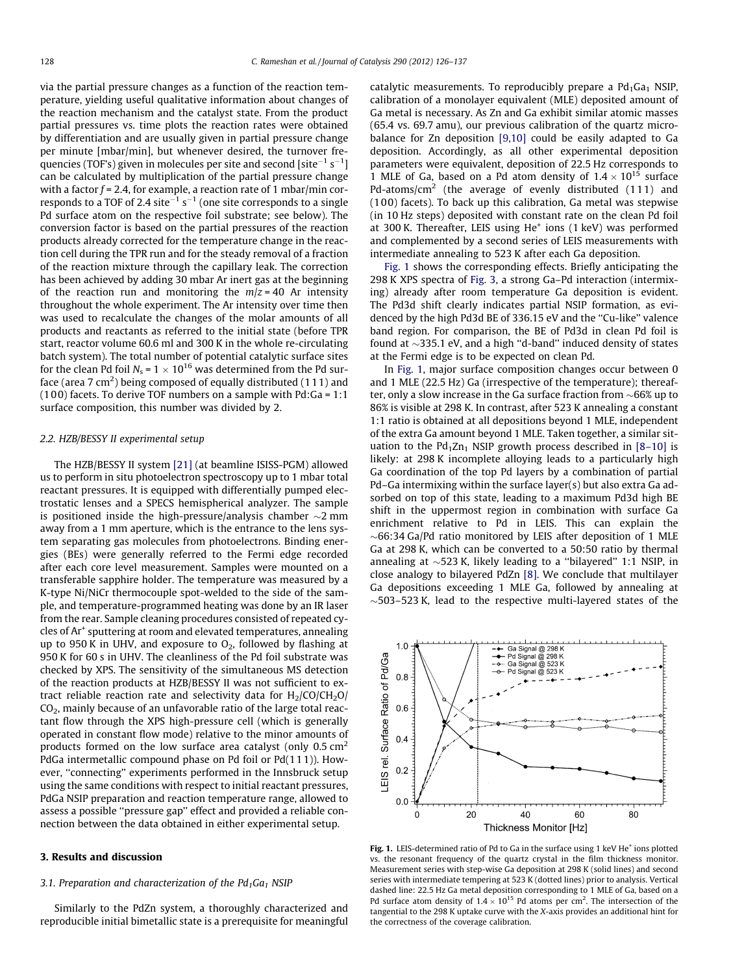via the partial pressure changes as a function of the reaction temperature, yielding useful qualitative information about changes of the reaction mechanism and the catalyst state. From the product partial pressures vs. time plots the reaction rates were obtained by differentiation and are usually given in partial pressure change per minute [mbar/min], but whenever desired, the turnover frequencies (TOF's) given in molecules per site and second [site $^{-1}\,{\rm s}^{-1}]$ can be calculated by multiplication of the partial pressure change with a factor  $f = 2.4$ , for example, a reaction rate of 1 mbar/min corresponds to a TOF of 2.4 site<sup> $-1$ </sup> s<sup>-1</sup> (one site corresponds to a single Pd surface atom on the respective foil substrate; see below). The conversion factor is based on the partial pressures of the reaction products already corrected for the temperature change in the reaction cell during the TPR run and for the steady removal of a fraction of the reaction mixture through the capillary leak. The correction has been achieved by adding 30 mbar Ar inert gas at the beginning of the reaction run and monitoring the  $m/z = 40$  Ar intensity throughout the whole experiment. The Ar intensity over time then was used to recalculate the changes of the molar amounts of all products and reactants as referred to the initial state (before TPR start, reactor volume 60.6 ml and 300 K in the whole re-circulating batch system). The total number of potential catalytic surface sites for the clean Pd foil  $N_s = 1 \times 10^{16}$  was determined from the Pd surface (area 7 cm<sup>2</sup>) being composed of equally distributed (111) and (1 00) facets. To derive TOF numbers on a sample with Pd:Ga = 1:1 surface composition, this number was divided by 2.

### 2.2. HZB/BESSY II experimental setup

The HZB/BESSY II system [\[21\]](#page-11-0) (at beamline ISISS-PGM) allowed us to perform in situ photoelectron spectroscopy up to 1 mbar total reactant pressures. It is equipped with differentially pumped electrostatic lenses and a SPECS hemispherical analyzer. The sample is positioned inside the high-pressure/analysis chamber  ${\sim}2$  mm away from a 1 mm aperture, which is the entrance to the lens system separating gas molecules from photoelectrons. Binding energies (BEs) were generally referred to the Fermi edge recorded after each core level measurement. Samples were mounted on a transferable sapphire holder. The temperature was measured by a K-type Ni/NiCr thermocouple spot-welded to the side of the sample, and temperature-programmed heating was done by an IR laser from the rear. Sample cleaning procedures consisted of repeated cycles of Ar+ sputtering at room and elevated temperatures, annealing up to 950 K in UHV, and exposure to  $O_2$ , followed by flashing at 950 K for 60 s in UHV. The cleanliness of the Pd foil substrate was checked by XPS. The sensitivity of the simultaneous MS detection of the reaction products at HZB/BESSY II was not sufficient to extract reliable reaction rate and selectivity data for  $H_2$ /CO/CH<sub>2</sub>O/  $CO<sub>2</sub>$ , mainly because of an unfavorable ratio of the large total reactant flow through the XPS high-pressure cell (which is generally operated in constant flow mode) relative to the minor amounts of products formed on the low surface area catalyst (only  $0.5 \text{ cm}^2$ ) PdGa intermetallic compound phase on Pd foil or Pd(111)). However, ''connecting'' experiments performed in the Innsbruck setup using the same conditions with respect to initial reactant pressures, PdGa NSIP preparation and reaction temperature range, allowed to assess a possible ''pressure gap'' effect and provided a reliable connection between the data obtained in either experimental setup.

## 3. Results and discussion

#### 3.1. Preparation and characterization of the  $Pd_1Ga_1$  NSIP

Similarly to the PdZn system, a thoroughly characterized and reproducible initial bimetallic state is a prerequisite for meaningful catalytic measurements. To reproducibly prepare a  $Pd_1Ga_1$  NSIP, calibration of a monolayer equivalent (MLE) deposited amount of Ga metal is necessary. As Zn and Ga exhibit similar atomic masses (65.4 vs. 69.7 amu), our previous calibration of the quartz microbalance for Zn deposition [\[9,10\]](#page-11-0) could be easily adapted to Ga deposition. Accordingly, as all other experimental deposition parameters were equivalent, deposition of 22.5 Hz corresponds to 1 MLE of Ga, based on a Pd atom density of  $1.4 \times 10^{15}$  surface Pd-atoms/cm<sup>2</sup> (the average of evenly distributed (111) and (1 00) facets). To back up this calibration, Ga metal was stepwise (in 10 Hz steps) deposited with constant rate on the clean Pd foil at 300 K. Thereafter, LEIS using He<sup>+</sup> ions (1 keV) was performed and complemented by a second series of LEIS measurements with intermediate annealing to 523 K after each Ga deposition.

Fig. 1 shows the corresponding effects. Briefly anticipating the 298 K XPS spectra of [Fig. 3](#page-3-0), a strong Ga–Pd interaction (intermixing) already after room temperature Ga deposition is evident. The Pd3d shift clearly indicates partial NSIP formation, as evidenced by the high Pd3d BE of 336.15 eV and the ''Cu-like'' valence band region. For comparison, the BE of Pd3d in clean Pd foil is found at  $\sim$ 335.1 eV, and a high "d-band" induced density of states at the Fermi edge is to be expected on clean Pd.

In Fig. 1, major surface composition changes occur between 0 and 1 MLE (22.5 Hz) Ga (irrespective of the temperature); thereafter, only a slow increase in the Ga surface fraction from  $\sim$ 66% up to 86% is visible at 298 K. In contrast, after 523 K annealing a constant 1:1 ratio is obtained at all depositions beyond 1 MLE, independent of the extra Ga amount beyond 1 MLE. Taken together, a similar situation to the  $Pd_1Zn_1$  NSIP growth process described in [\[8–10\]](#page-11-0) is likely: at 298 K incomplete alloying leads to a particularly high Ga coordination of the top Pd layers by a combination of partial Pd–Ga intermixing within the surface layer(s) but also extra Ga adsorbed on top of this state, leading to a maximum Pd3d high BE shift in the uppermost region in combination with surface Ga enrichment relative to Pd in LEIS. This can explain the  $\sim$ 66:34 Ga/Pd ratio monitored by LEIS after deposition of 1 MLE Ga at 298 K, which can be converted to a 50:50 ratio by thermal annealing at  $\sim$ 523 K, likely leading to a "bilayered" 1:1 NSIP, in close analogy to bilayered PdZn [\[8\].](#page-11-0) We conclude that multilayer Ga depositions exceeding 1 MLE Ga, followed by annealing at  $\sim$  503–523 K, lead to the respective multi-layered states of the



Fig. 1. LEIS-determined ratio of Pd to Ga in the surface using 1 keV He<sup>+</sup> ions plotted vs. the resonant frequency of the quartz crystal in the film thickness monitor. Measurement series with step-wise Ga deposition at 298 K (solid lines) and second series with intermediate tempering at 523 K (dotted lines) prior to analysis. Vertical dashed line: 22.5 Hz Ga metal deposition corresponding to 1 MLE of Ga, based on a Pd surface atom density of  $1.4 \times 10^{15}$  Pd atoms per cm<sup>2</sup>. The intersection of the tangential to the 298 K uptake curve with the X-axis provides an additional hint for the correctness of the coverage calibration.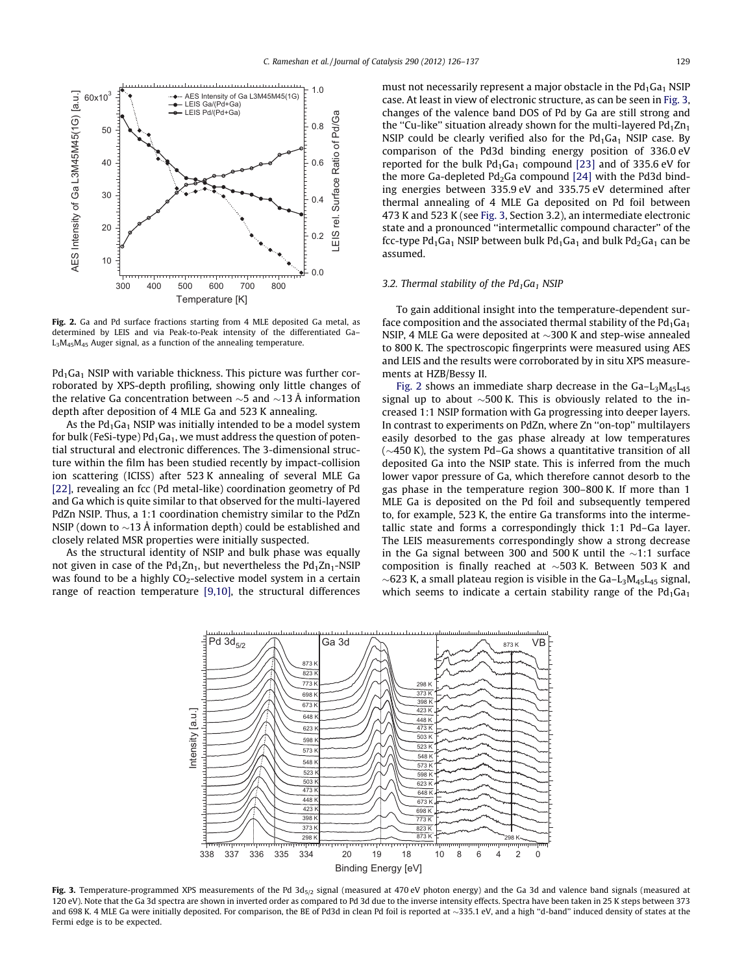<span id="page-3-0"></span>

Fig. 2. Ga and Pd surface fractions starting from 4 MLE deposited Ga metal, as determined by LEIS and via Peak-to-Peak intensity of the differentiated Ga–  $L_3M_{45}M_{45}$  Auger signal, as a function of the annealing temperature.

 $Pd_1Ga_1$  NSIP with variable thickness. This picture was further corroborated by XPS-depth profiling, showing only little changes of the relative Ga concentration between  $\sim$ 5 and  $\sim$ 13 Å information depth after deposition of 4 MLE Ga and 523 K annealing.

As the  $Pd_1Ga_1$  NSIP was initially intended to be a model system for bulk (FeSi-type)  $Pd_1Ga_1$ , we must address the question of potential structural and electronic differences. The 3-dimensional structure within the film has been studied recently by impact-collision ion scattering (ICISS) after 523 K annealing of several MLE Ga [\[22\],](#page-11-0) revealing an fcc (Pd metal-like) coordination geometry of Pd and Ga which is quite similar to that observed for the multi-layered PdZn NSIP. Thus, a 1:1 coordination chemistry similar to the PdZn NSIP (down to  ${\sim}13$  Å information depth) could be established and closely related MSR properties were initially suspected.

As the structural identity of NSIP and bulk phase was equally not given in case of the  $Pd_1Zn_1$ , but nevertheless the  $Pd_1Zn_1$ -NSIP was found to be a highly  $CO_2$ -selective model system in a certain range of reaction temperature [\[9,10\]](#page-11-0), the structural differences must not necessarily represent a major obstacle in the  $Pd_1Ga_1$  NSIP case. At least in view of electronic structure, as can be seen in Fig. 3, changes of the valence band DOS of Pd by Ga are still strong and the "Cu-like" situation already shown for the multi-layered  $Pd_1Zn_1$ NSIP could be clearly verified also for the  $Pd_1Ga_1$  NSIP case. By comparison of the Pd3d binding energy position of 336.0 eV reported for the bulk  $Pd_1Ga_1$  compound [\[23\]](#page-11-0) and of 335.6 eV for the more Ga-depleted  $Pd_2Ga$  compound  $[24]$  with the Pd3d binding energies between 335.9 eV and 335.75 eV determined after thermal annealing of 4 MLE Ga deposited on Pd foil between 473 K and 523 K (see Fig. 3, Section 3.2), an intermediate electronic state and a pronounced ''intermetallic compound character'' of the fcc-type Pd<sub>1</sub>Ga<sub>1</sub> NSIP between bulk Pd<sub>1</sub>Ga<sub>1</sub> and bulk Pd<sub>2</sub>Ga<sub>1</sub> can be assumed.

#### 3.2. Thermal stability of the  $Pd_1Ga_1$  NSIP

To gain additional insight into the temperature-dependent surface composition and the associated thermal stability of the  $Pd_1Ga_1$ NSIP, 4 MLE Ga were deposited at  $\sim$ 300 K and step-wise annealed to 800 K. The spectroscopic fingerprints were measured using AES and LEIS and the results were corroborated by in situ XPS measurements at HZB/Bessy II.

Fig. 2 shows an immediate sharp decrease in the  $Ga-L<sub>3</sub>M<sub>45</sub>L<sub>45</sub>$ signal up to about  $\sim$ 500 K. This is obviously related to the increased 1:1 NSIP formation with Ga progressing into deeper layers. In contrast to experiments on PdZn, where Zn ''on-top'' multilayers easily desorbed to the gas phase already at low temperatures ( $\sim$ 450 K), the system Pd–Ga shows a quantitative transition of all deposited Ga into the NSIP state. This is inferred from the much lower vapor pressure of Ga, which therefore cannot desorb to the gas phase in the temperature region 300–800 K. If more than 1 MLE Ga is deposited on the Pd foil and subsequently tempered to, for example, 523 K, the entire Ga transforms into the intermetallic state and forms a correspondingly thick 1:1 Pd–Ga layer. The LEIS measurements correspondingly show a strong decrease in the Ga signal between 300 and 500 K until the  $\sim$ 1:1 surface composition is finally reached at  $\sim$ 503 K. Between 503 K and  $\sim$ 623 K, a small plateau region is visible in the Ga–L $_3$ M $_{45}$ L $_{45}$  signal, which seems to indicate a certain stability range of the  $Pd_1Ga_1$ 



Fig. 3. Temperature-programmed XPS measurements of the Pd  $3d_{5/2}$  signal (measured at 470 eV photon energy) and the Ga 3d and valence band signals (measured at 120 eV). Note that the Ga 3d spectra are shown in inverted order as compared to Pd 3d due to the inverse intensity effects. Spectra have been taken in 25 K steps between 373 and 698 K. 4 MLE Ga were initially deposited. For comparison, the BE of Pd3d in clean Pd foil is reported at  $\sim$ 335.1 eV, and a high "d-band" induced density of states at the Fermi edge is to be expected.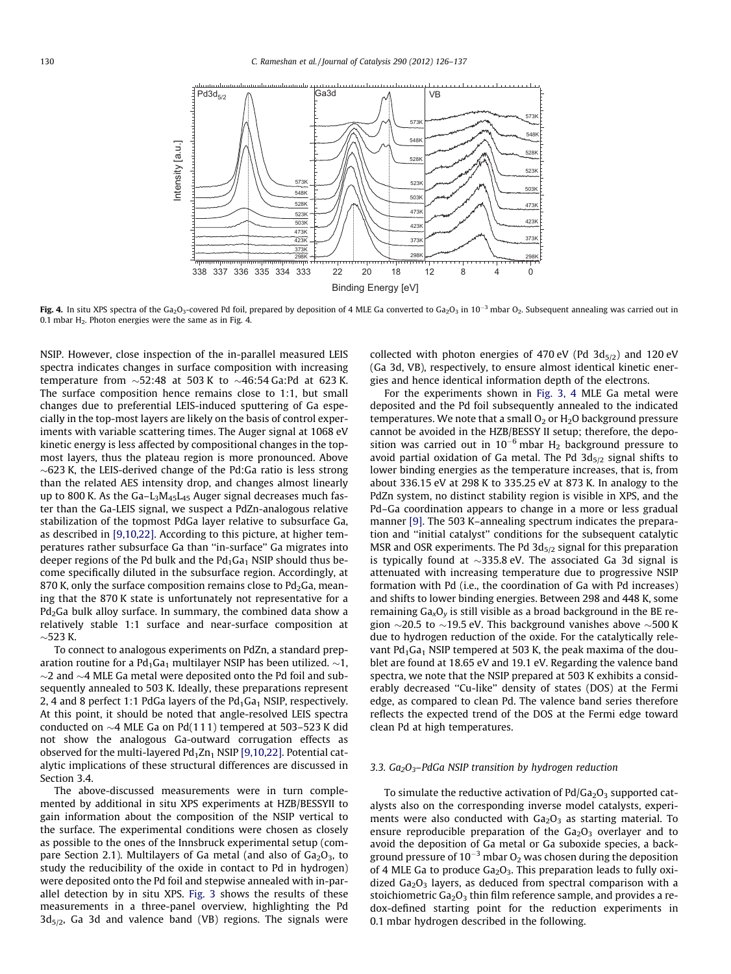<span id="page-4-0"></span>

Fig. 4. In situ XPS spectra of the Ga<sub>2</sub>O<sub>3</sub>-covered Pd foil, prepared by deposition of 4 MLE Ga converted to Ga<sub>2</sub>O<sub>3</sub> in 10<sup>-3</sup> mbar O<sub>2</sub>. Subsequent annealing was carried out in 0.1 mbar  $H_2$ . Photon energies were the same as in Fig. 4.

NSIP. However, close inspection of the in-parallel measured LEIS spectra indicates changes in surface composition with increasing temperature from  ${\sim}52{:}48$  at 503 K to  ${\sim}46{:}54\,$ Ga:Pd at 623 K. The surface composition hence remains close to 1:1, but small changes due to preferential LEIS-induced sputtering of Ga especially in the top-most layers are likely on the basis of control experiments with variable scattering times. The Auger signal at 1068 eV kinetic energy is less affected by compositional changes in the topmost layers, thus the plateau region is more pronounced. Above  $\sim$ 623 K, the LEIS-derived change of the Pd:Ga ratio is less strong than the related AES intensity drop, and changes almost linearly up to 800 K. As the Ga–L3M45L45 Auger signal decreases much faster than the Ga-LEIS signal, we suspect a PdZn-analogous relative stabilization of the topmost PdGa layer relative to subsurface Ga, as described in [\[9,10,22\].](#page-11-0) According to this picture, at higher temperatures rather subsurface Ga than ''in-surface'' Ga migrates into deeper regions of the Pd bulk and the  $Pd_1Ga_1$  NSIP should thus become specifically diluted in the subsurface region. Accordingly, at 870 K, only the surface composition remains close to  $Pd_2Ga$ , meaning that the 870 K state is unfortunately not representative for a  $Pd<sub>2</sub>Ga$  bulk alloy surface. In summary, the combined data show a relatively stable 1:1 surface and near-surface composition at  $\sim$ 523 K.

To connect to analogous experiments on PdZn, a standard preparation routine for a Pd $_1$ Ga $_1$  multilayer NSIP has been utilized.  ${\sim}1$ ,  $\sim$ 2 and  $\sim$ 4 MLE Ga metal were deposited onto the Pd foil and subsequently annealed to 503 K. Ideally, these preparations represent 2, 4 and 8 perfect 1:1 PdGa layers of the  $Pd_1Ga_1$  NSIP, respectively. At this point, it should be noted that angle-resolved LEIS spectra conducted on  ${\sim}4$  MLE Ga on Pd(111) tempered at 503–523 K did not show the analogous Ga-outward corrugation effects as observed for the multi-layered  $Pd_1Zn_1$  NSIP [\[9,10,22\].](#page-11-0) Potential catalytic implications of these structural differences are discussed in Section 3.4.

The above-discussed measurements were in turn complemented by additional in situ XPS experiments at HZB/BESSYII to gain information about the composition of the NSIP vertical to the surface. The experimental conditions were chosen as closely as possible to the ones of the Innsbruck experimental setup (compare Section 2.1). Multilayers of Ga metal (and also of  $Ga<sub>2</sub>O<sub>3</sub>$ , to study the reducibility of the oxide in contact to Pd in hydrogen) were deposited onto the Pd foil and stepwise annealed with in-parallel detection by in situ XPS. [Fig. 3](#page-3-0) shows the results of these measurements in a three-panel overview, highlighting the Pd  $3d_{5/2}$ , Ga 3d and valence band (VB) regions. The signals were

collected with photon energies of 470 eV (Pd  $3d_{5/2}$ ) and 120 eV (Ga 3d, VB), respectively, to ensure almost identical kinetic energies and hence identical information depth of the electrons.

For the experiments shown in [Fig. 3, 4](#page-3-0) MLE Ga metal were deposited and the Pd foil subsequently annealed to the indicated temperatures. We note that a small  $O<sub>2</sub>$  or  $H<sub>2</sub>O$  background pressure cannot be avoided in the HZB/BESSY II setup; therefore, the deposition was carried out in  $10^{-6}$  mbar H<sub>2</sub> background pressure to avoid partial oxidation of Ga metal. The Pd  $3d_{5/2}$  signal shifts to lower binding energies as the temperature increases, that is, from about 336.15 eV at 298 K to 335.25 eV at 873 K. In analogy to the PdZn system, no distinct stability region is visible in XPS, and the Pd–Ga coordination appears to change in a more or less gradual manner [\[9\]](#page-11-0). The 503 K–annealing spectrum indicates the preparation and ''initial catalyst'' conditions for the subsequent catalytic MSR and OSR experiments. The Pd  $3d_{5/2}$  signal for this preparation is typically found at  $\sim$ 335.8 eV. The associated Ga 3d signal is attenuated with increasing temperature due to progressive NSIP formation with Pd (i.e., the coordination of Ga with Pd increases) and shifts to lower binding energies. Between 298 and 448 K, some remaining  $Ga_xO_y$  is still visible as a broad background in the BE region  $\sim$ 20.5 to  $\sim$ 19.5 eV. This background vanishes above  $\sim$ 500 K due to hydrogen reduction of the oxide. For the catalytically relevant  $Pd_1Ga_1$  NSIP tempered at 503 K, the peak maxima of the doublet are found at 18.65 eV and 19.1 eV. Regarding the valence band spectra, we note that the NSIP prepared at 503 K exhibits a considerably decreased ''Cu-like'' density of states (DOS) at the Fermi edge, as compared to clean Pd. The valence band series therefore reflects the expected trend of the DOS at the Fermi edge toward clean Pd at high temperatures.

## 3.3.  $Ga_2O_3$ -PdGa NSIP transition by hydrogen reduction

To simulate the reductive activation of  $Pd/Ga_2O_3$  supported catalysts also on the corresponding inverse model catalysts, experiments were also conducted with  $Ga<sub>2</sub>O<sub>3</sub>$  as starting material. To ensure reproducible preparation of the  $Ga<sub>2</sub>O<sub>3</sub>$  overlayer and to avoid the deposition of Ga metal or Ga suboxide species, a background pressure of  $10^{-3}$  mbar O<sub>2</sub> was chosen during the deposition of 4 MLE Ga to produce  $Ga<sub>2</sub>O<sub>3</sub>$ . This preparation leads to fully oxidized  $Ga<sub>2</sub>O<sub>3</sub>$  layers, as deduced from spectral comparison with a stoichiometric  $Ga<sub>2</sub>O<sub>3</sub>$  thin film reference sample, and provides a redox-defined starting point for the reduction experiments in 0.1 mbar hydrogen described in the following.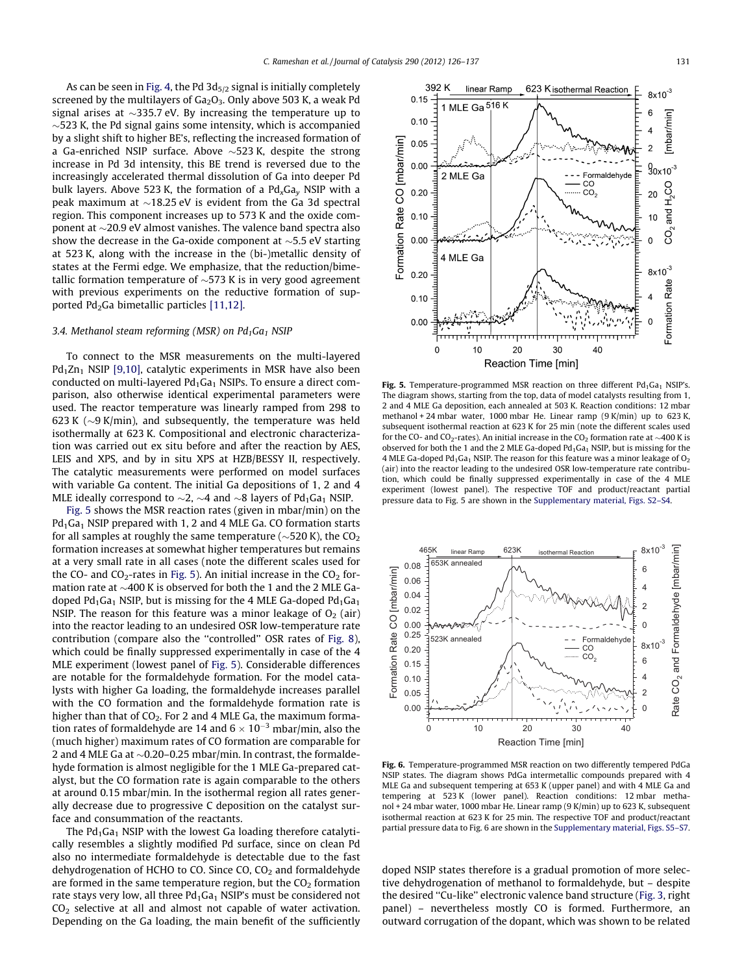<span id="page-5-0"></span>As can be seen in [Fig. 4,](#page-4-0) the Pd  $3d_{5/2}$  signal is initially completely screened by the multilayers of  $Ga<sub>2</sub>O<sub>3</sub>$ . Only above 503 K, a weak Pd signal arises at  ${\sim}335.7$  eV. By increasing the temperature up to  $\sim$ 523 K, the Pd signal gains some intensity, which is accompanied by a slight shift to higher BE's, reflecting the increased formation of a Ga-enriched NSIP surface. Above  ${\sim}523$  K, despite the strong increase in Pd 3d intensity, this BE trend is reversed due to the increasingly accelerated thermal dissolution of Ga into deeper Pd bulk layers. Above 523 K, the formation of a  $Pd_{x}Ga_{v}$  NSIP with a peak maximum at  ${\sim}18.25$  eV is evident from the Ga 3d spectral region. This component increases up to 573 K and the oxide component at  $\sim$ 20.9 eV almost vanishes. The valence band spectra also show the decrease in the Ga-oxide component at  $\sim$ 5.5 eV starting at 523 K, along with the increase in the (bi-)metallic density of states at the Fermi edge. We emphasize, that the reduction/bimetallic formation temperature of  ${\sim}$ 573 K is in very good agreement with previous experiments on the reductive formation of supported  $Pd_2Ga$  bimetallic particles [\[11,12\].](#page-11-0)

# 3.4. Methanol steam reforming (MSR) on  $Pd_1Ga_1$  NSIP

To connect to the MSR measurements on the multi-layered  $Pd_1Zn_1$  NSIP [\[9,10\]](#page-11-0), catalytic experiments in MSR have also been conducted on multi-layered  $Pd_1Ga_1$  NSIPs. To ensure a direct comparison, also otherwise identical experimental parameters were used. The reactor temperature was linearly ramped from 298 to 623 K ( $\sim$ 9 K/min), and subsequently, the temperature was held isothermally at 623 K. Compositional and electronic characterization was carried out ex situ before and after the reaction by AES, LEIS and XPS, and by in situ XPS at HZB/BESSY II, respectively. The catalytic measurements were performed on model surfaces with variable Ga content. The initial Ga depositions of 1, 2 and 4 MLE ideally correspond to  ${\sim}2$ ,  ${\sim}4$  and  ${\sim}8$  layers of Pd $_1$ Ga $_1$  NSIP.

Fig. 5 shows the MSR reaction rates (given in mbar/min) on the  $Pd_1Ga_1$  NSIP prepared with 1, 2 and 4 MLE Ga. CO formation starts for all samples at roughly the same temperature (~520 K), the CO $_{\rm 2}$ formation increases at somewhat higher temperatures but remains at a very small rate in all cases (note the different scales used for the CO- and CO<sub>2</sub>-rates in Fig. 5). An initial increase in the CO<sub>2</sub> formation rate at  ${\sim}400$  K is observed for both the 1 and the 2 MLE Gadoped Pd<sub>1</sub>Ga<sub>1</sub> NSIP, but is missing for the 4 MLE Ga-doped Pd<sub>1</sub>Ga<sub>1</sub> NSIP. The reason for this feature was a minor leakage of  $O<sub>2</sub>$  (air) into the reactor leading to an undesired OSR low-temperature rate contribution (compare also the ''controlled'' OSR rates of [Fig. 8\)](#page-6-0), which could be finally suppressed experimentally in case of the 4 MLE experiment (lowest panel of Fig. 5). Considerable differences are notable for the formaldehyde formation. For the model catalysts with higher Ga loading, the formaldehyde increases parallel with the CO formation and the formaldehyde formation rate is higher than that of  $CO<sub>2</sub>$ . For 2 and 4 MLE Ga, the maximum formation rates of formaldehyde are 14 and  $6 \times 10^{-3}$  mbar/min, also the (much higher) maximum rates of CO formation are comparable for 2 and 4 MLE Ga at  ${\sim}$ 0.20–0.25 mbar/min. In contrast, the formaldehyde formation is almost negligible for the 1 MLE Ga-prepared catalyst, but the CO formation rate is again comparable to the others at around 0.15 mbar/min. In the isothermal region all rates generally decrease due to progressive C deposition on the catalyst surface and consummation of the reactants.

The  $Pd_1Ga_1$  NSIP with the lowest Ga loading therefore catalytically resembles a slightly modified Pd surface, since on clean Pd also no intermediate formaldehyde is detectable due to the fast dehydrogenation of HCHO to CO. Since CO,  $CO<sub>2</sub>$  and formaldehyde are formed in the same temperature region, but the  $CO<sub>2</sub>$  formation rate stays very low, all three  $Pd_1Ga_1$  NSIP's must be considered not CO2 selective at all and almost not capable of water activation. Depending on the Ga loading, the main benefit of the sufficiently



Fig. 5. Temperature-programmed MSR reaction on three different  $Pd_1Ga_1$  NSIP's. The diagram shows, starting from the top, data of model catalysts resulting from 1, 2 and 4 MLE Ga deposition, each annealed at 503 K. Reaction conditions: 12 mbar methanol + 24 mbar water, 1000 mbar He. Linear ramp (9 K/min) up to 623 K, subsequent isothermal reaction at 623 K for 25 min (note the different scales used for the CO- and CO<sub>2</sub>-rates). An initial increase in the CO<sub>2</sub> formation rate at  $\sim$ 400 K is observed for both the 1 and the 2 MLE Ga-doped  $Pd_1Ga_1$  NSIP, but is missing for the 4 MLE Ga-doped Pd<sub>1</sub>Ga<sub>1</sub> NSIP. The reason for this feature was a minor leakage of O<sub>2</sub> (air) into the reactor leading to the undesired OSR low-temperature rate contribution, which could be finally suppressed experimentally in case of the 4 MLE experiment (lowest panel). The respective TOF and product/reactant partial pressure data to Fig. 5 are shown in the Supplementary material, Figs. S2–S4.



Fig. 6. Temperature-programmed MSR reaction on two differently tempered PdGa NSIP states. The diagram shows PdGa intermetallic compounds prepared with 4 MLE Ga and subsequent tempering at 653 K (upper panel) and with 4 MLE Ga and tempering at 523 K (lower panel). Reaction conditions: 12 mbar methanol + 24 mbar water, 1000 mbar He. Linear ramp (9 K/min) up to 623 K, subsequent isothermal reaction at 623 K for 25 min. The respective TOF and product/reactant partial pressure data to Fig. 6 are shown in the Supplementary material, Figs. S5–S7.

doped NSIP states therefore is a gradual promotion of more selective dehydrogenation of methanol to formaldehyde, but – despite the desired ''Cu-like'' electronic valence band structure [\(Fig. 3,](#page-3-0) right panel) – nevertheless mostly CO is formed. Furthermore, an outward corrugation of the dopant, which was shown to be related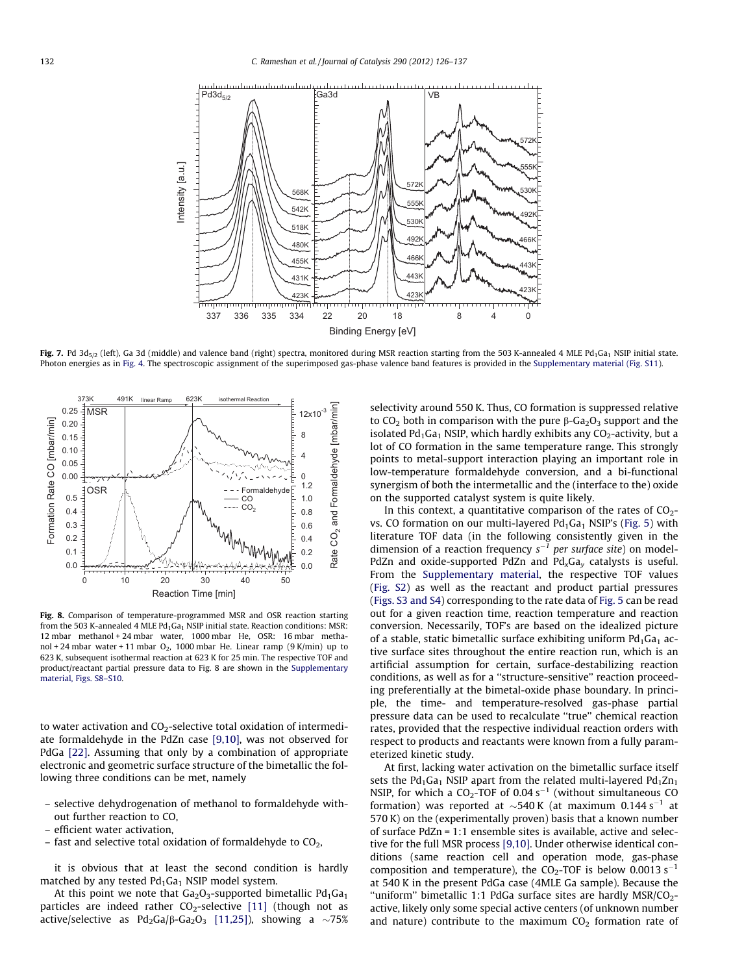<span id="page-6-0"></span>

Fig. 7. Pd 3d<sub>5/2</sub> (left), Ga 3d (middle) and valence band (right) spectra, monitored during MSR reaction starting from the 503 K-annealed 4 MLE Pd<sub>1</sub>Ga<sub>1</sub> NSIP initial state. Photon energies as in [Fig. 4.](#page-4-0) The spectroscopic assignment of the superimposed gas-phase valence band features is provided in the Supplementary material (Fig. S11).



Fig. 8. Comparison of temperature-programmed MSR and OSR reaction starting from the 503 K-annealed 4 MLE  $Pd_1Ga_1$  NSIP initial state. Reaction conditions: MSR: 12 mbar methanol + 24 mbar water, 1000 mbar He, OSR: 16 mbar methanol + 24 mbar water + 11 mbar  $O_2$ , 1000 mbar He. Linear ramp (9 K/min) up to 623 K, subsequent isothermal reaction at 623 K for 25 min. The respective TOF and product/reactant partial pressure data to Fig. 8 are shown in the Supplementary material, Figs. S8–S10.

to water activation and  $CO<sub>2</sub>$ -selective total oxidation of intermediate formaldehyde in the PdZn case [\[9,10\]](#page-11-0), was not observed for PdGa [\[22\]](#page-11-0). Assuming that only by a combination of appropriate electronic and geometric surface structure of the bimetallic the following three conditions can be met, namely

- selective dehydrogenation of methanol to formaldehyde without further reaction to CO,
- efficient water activation,
- fast and selective total oxidation of formaldehyde to  $CO<sub>2</sub>$ ,

it is obvious that at least the second condition is hardly matched by any tested  $Pd_1Ga_1$  NSIP model system.

At this point we note that  $Ga_2O_3$ -supported bimetallic  $Pd_1Ga_1$ particles are indeed rather  $CO_2$ -selective [\[11\]](#page-11-0) (though not as active/selective as Pd $_2$ Ga/β-Ga $_2$ O $_3$  [\[11,25\]\)](#page-11-0), showing a  ${\sim}75\%$ 

selectivity around 550 K. Thus, CO formation is suppressed relative to  $CO<sub>2</sub>$  both in comparison with the pure  $\beta$ -Ga<sub>2</sub>O<sub>3</sub> support and the isolated  $Pd_1Ga_1$  NSIP, which hardly exhibits any  $CO_2$ -activity, but a lot of CO formation in the same temperature range. This strongly points to metal-support interaction playing an important role in low-temperature formaldehyde conversion, and a bi-functional synergism of both the intermetallic and the (interface to the) oxide on the supported catalyst system is quite likely.

In this context, a quantitative comparison of the rates of  $CO<sub>2</sub>$ vs. CO formation on our multi-layered  $Pd_1Ga_1$  NSIP's ([Fig. 5\)](#page-5-0) with literature TOF data (in the following consistently given in the dimension of a reaction frequency  $s^{-1}$  per surface site) on model-PdZn and oxide-supported PdZn and  $Pd_xGa_y$  catalysts is useful. From the Supplementary material, the respective TOF values (Fig. S2) as well as the reactant and product partial pressures (Figs. S3 and S4) corresponding to the rate data of [Fig. 5](#page-5-0) can be read out for a given reaction time, reaction temperature and reaction conversion. Necessarily, TOF's are based on the idealized picture of a stable, static bimetallic surface exhibiting uniform  $Pd_1Ga_1$  active surface sites throughout the entire reaction run, which is an artificial assumption for certain, surface-destabilizing reaction conditions, as well as for a ''structure-sensitive'' reaction proceeding preferentially at the bimetal-oxide phase boundary. In principle, the time- and temperature-resolved gas-phase partial pressure data can be used to recalculate ''true'' chemical reaction rates, provided that the respective individual reaction orders with respect to products and reactants were known from a fully parameterized kinetic study.

At first, lacking water activation on the bimetallic surface itself sets the Pd<sub>1</sub>Ga<sub>1</sub> NSIP apart from the related multi-layered Pd<sub>1</sub>Zn<sub>1</sub> NSIP, for which a  $CO_2$ -TOF of 0.04 s<sup>-1</sup> (without simultaneous CO formation) was reported at  $\sim$ 540 K (at maximum 0.144 s<sup>-1</sup> at 570 K) on the (experimentally proven) basis that a known number of surface PdZn = 1:1 ensemble sites is available, active and selective for the full MSR process [\[9,10\].](#page-11-0) Under otherwise identical conditions (same reaction cell and operation mode, gas-phase composition and temperature), the CO<sub>2</sub>-TOF is below 0.0013 s<sup>-1</sup> at 540 K in the present PdGa case (4MLE Ga sample). Because the "uniform" bimetallic 1:1 PdGa surface sites are hardly  $MSR/CO<sub>2</sub>$ active, likely only some special active centers (of unknown number and nature) contribute to the maximum  $CO<sub>2</sub>$  formation rate of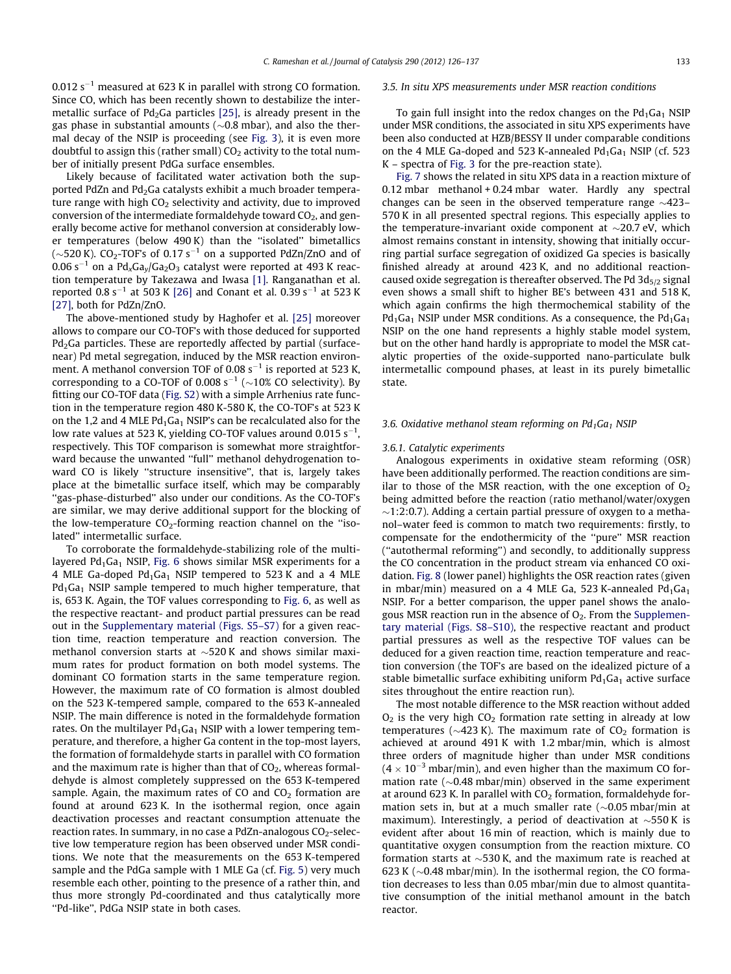0.012  $s^{-1}$  measured at 623 K in parallel with strong CO formation. Since CO, which has been recently shown to destabilize the intermetallic surface of  $Pd_2Ga$  particles [\[25\],](#page-11-0) is already present in the gas phase in substantial amounts ( $\sim$ 0.8 mbar), and also the thermal decay of the NSIP is proceeding (see [Fig. 3](#page-3-0)), it is even more doubtful to assign this (rather small)  $CO<sub>2</sub>$  activity to the total number of initially present PdGa surface ensembles.

Likely because of facilitated water activation both the supported PdZn and Pd<sub>2</sub>Ga catalysts exhibit a much broader temperature range with high  $CO<sub>2</sub>$  selectivity and activity, due to improved conversion of the intermediate formaldehyde toward  $CO<sub>2</sub>$ , and generally become active for methanol conversion at considerably lower temperatures (below 490 K) than the ''isolated'' bimetallics ( $\sim$ 520 K). CO<sub>2</sub>-TOF's of 0.17 s $^{-1}$  on a supported PdZn/ZnO and of 0.06 s<sup>-1</sup> on a Pd<sub>x</sub>Ga<sub>y</sub>/Ga<sub>2</sub>O<sub>3</sub> catalyst were reported at 493 K reaction temperature by Takezawa and Iwasa [\[1\].](#page-11-0) Ranganathan et al. reported 0.8 s<sup>-1</sup> at 503 K [\[26\]](#page-11-0) and Conant et al. 0.39 s<sup>-1</sup> at 523 K [\[27\],](#page-11-0) both for PdZn/ZnO.

The above-mentioned study by Haghofer et al. [\[25\]](#page-11-0) moreover allows to compare our CO-TOF's with those deduced for supported Pd<sub>2</sub>Ga particles. These are reportedly affected by partial (surfacenear) Pd metal segregation, induced by the MSR reaction environment. A methanol conversion TOF of 0.08  $s^{-1}$  is reported at 523 K, corresponding to a CO-TOF of 0.008 s<sup>-1</sup> ( $\sim$ 10% CO selectivity). By fitting our CO-TOF data (Fig. S2) with a simple Arrhenius rate function in the temperature region 480 K-580 K, the CO-TOF's at 523 K on the 1,2 and 4 MLE  $Pd_1Ga_1$  NSIP's can be recalculated also for the low rate values at 523 K, yielding CO-TOF values around 0.015 s $^{\rm -1}$ , respectively. This TOF comparison is somewhat more straightforward because the unwanted "full" methanol dehydrogenation toward CO is likely ''structure insensitive'', that is, largely takes place at the bimetallic surface itself, which may be comparably ''gas-phase-disturbed'' also under our conditions. As the CO-TOF's are similar, we may derive additional support for the blocking of the low-temperature  $CO<sub>2</sub>$ -forming reaction channel on the "isolated'' intermetallic surface.

To corroborate the formaldehyde-stabilizing role of the multilayered  $Pd_1Ga_1$  NSIP, [Fig. 6](#page-5-0) shows similar MSR experiments for a 4 MLE Ga-doped  $Pd_1Ga_1$  NSIP tempered to 523 K and a 4 MLE  $Pd_1Ga_1$  NSIP sample tempered to much higher temperature, that is, 653 K. Again, the TOF values corresponding to [Fig. 6,](#page-5-0) as well as the respective reactant- and product partial pressures can be read out in the Supplementary material (Figs. S5–S7) for a given reaction time, reaction temperature and reaction conversion. The methanol conversion starts at  ${\sim}520\,\mathrm{K}$  and shows similar maximum rates for product formation on both model systems. The dominant CO formation starts in the same temperature region. However, the maximum rate of CO formation is almost doubled on the 523 K-tempered sample, compared to the 653 K-annealed NSIP. The main difference is noted in the formaldehyde formation rates. On the multilayer  $Pd_1Ga_1$  NSIP with a lower tempering temperature, and therefore, a higher Ga content in the top-most layers, the formation of formaldehyde starts in parallel with CO formation and the maximum rate is higher than that of  $CO<sub>2</sub>$ , whereas formaldehyde is almost completely suppressed on the 653 K-tempered sample. Again, the maximum rates of CO and  $CO<sub>2</sub>$  formation are found at around 623 K. In the isothermal region, once again deactivation processes and reactant consumption attenuate the reaction rates. In summary, in no case a PdZn-analogous  $CO<sub>2</sub>$ -selective low temperature region has been observed under MSR conditions. We note that the measurements on the 653 K-tempered sample and the PdGa sample with 1 MLE Ga (cf. [Fig. 5\)](#page-5-0) very much resemble each other, pointing to the presence of a rather thin, and thus more strongly Pd-coordinated and thus catalytically more ''Pd-like'', PdGa NSIP state in both cases.

#### 3.5. In situ XPS measurements under MSR reaction conditions

To gain full insight into the redox changes on the  $Pd_1Ga_1$  NSIP under MSR conditions, the associated in situ XPS experiments have been also conducted at HZB/BESSY II under comparable conditions on the 4 MLE Ga-doped and 523 K-annealed  $Pd_1Ga_1$  NSIP (cf. 523 K – spectra of [Fig. 3](#page-3-0) for the pre-reaction state).

[Fig. 7](#page-6-0) shows the related in situ XPS data in a reaction mixture of 0.12 mbar methanol + 0.24 mbar water. Hardly any spectral changes can be seen in the observed temperature range  ${\sim}423-$ 570 K in all presented spectral regions. This especially applies to the temperature-invariant oxide component at  $\sim$ 20.7 eV, which almost remains constant in intensity, showing that initially occurring partial surface segregation of oxidized Ga species is basically finished already at around 423 K, and no additional reactioncaused oxide segregation is thereafter observed. The Pd  $3d_{5/2}$  signal even shows a small shift to higher BE's between 431 and 518 K, which again confirms the high thermochemical stability of the  $Pd_1Ga_1$  NSIP under MSR conditions. As a consequence, the  $Pd_1Ga_1$ NSIP on the one hand represents a highly stable model system, but on the other hand hardly is appropriate to model the MSR catalytic properties of the oxide-supported nano-particulate bulk intermetallic compound phases, at least in its purely bimetallic state.

#### 3.6. Oxidative methanol steam reforming on  $Pd_1Ga_1$  NSIP

#### 3.6.1. Catalytic experiments

Analogous experiments in oxidative steam reforming (OSR) have been additionally performed. The reaction conditions are similar to those of the MSR reaction, with the one exception of  $O<sub>2</sub>$ being admitted before the reaction (ratio methanol/water/oxygen  $\sim$ 1:2:0.7). Adding a certain partial pressure of oxygen to a methanol–water feed is common to match two requirements: firstly, to compensate for the endothermicity of the ''pure'' MSR reaction (''autothermal reforming'') and secondly, to additionally suppress the CO concentration in the product stream via enhanced CO oxidation. [Fig. 8](#page-6-0) (lower panel) highlights the OSR reaction rates (given in mbar/min) measured on a 4 MLE Ga, 523 K-annealed  $Pd_1Ga_1$ NSIP. For a better comparison, the upper panel shows the analogous MSR reaction run in the absence of  $O<sub>2</sub>$ . From the Supplementary material (Figs. S8–S10), the respective reactant and product partial pressures as well as the respective TOF values can be deduced for a given reaction time, reaction temperature and reaction conversion (the TOF's are based on the idealized picture of a stable bimetallic surface exhibiting uniform  $Pd_1Ga_1$  active surface sites throughout the entire reaction run).

The most notable difference to the MSR reaction without added  $O<sub>2</sub>$  is the very high  $CO<sub>2</sub>$  formation rate setting in already at low temperatures ( $\sim$ 423 K). The maximum rate of CO<sub>2</sub> formation is achieved at around 491 K with 1.2 mbar/min, which is almost three orders of magnitude higher than under MSR conditions  $(4 \times 10^{-3}$  mbar/min), and even higher than the maximum CO formation rate ( $\sim$ 0.48 mbar/min) observed in the same experiment at around 623 K. In parallel with  $CO<sub>2</sub>$  formation, formaldehyde formation sets in, but at a much smaller rate ( $\sim$ 0.05 mbar/min at maximum). Interestingly, a period of deactivation at  $\sim$ 550K is evident after about 16 min of reaction, which is mainly due to quantitative oxygen consumption from the reaction mixture. CO formation starts at  $\sim$ 530 K, and the maximum rate is reached at 623 K ( $\sim$ 0.48 mbar/min). In the isothermal region, the CO formation decreases to less than 0.05 mbar/min due to almost quantitative consumption of the initial methanol amount in the batch reactor.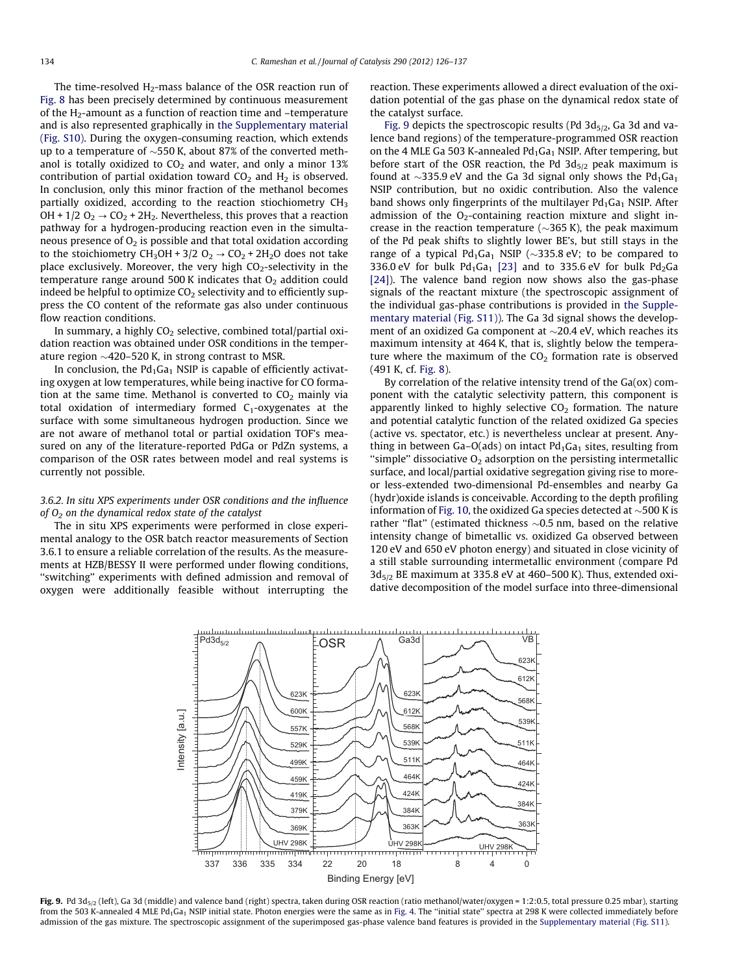The time-resolved  $H_2$ -mass balance of the OSR reaction run of [Fig. 8](#page-6-0) has been precisely determined by continuous measurement of the  $H_2$ -amount as a function of reaction time and  $-$ temperature and is also represented graphically in the Supplementary material (Fig. S10). During the oxygen-consuming reaction, which extends up to a temperature of  $\sim$ 550 K, about 87% of the converted methanol is totally oxidized to  $CO<sub>2</sub>$  and water, and only a minor 13% contribution of partial oxidation toward  $CO<sub>2</sub>$  and  $H<sub>2</sub>$  is observed. In conclusion, only this minor fraction of the methanol becomes partially oxidized, according to the reaction stiochiometry  $CH<sub>3</sub>$ OH +  $1/2$  O<sub>2</sub>  $\rightarrow$  CO<sub>2</sub> + 2H<sub>2</sub>. Nevertheless, this proves that a reaction pathway for a hydrogen-producing reaction even in the simultaneous presence of  $O<sub>2</sub>$  is possible and that total oxidation according to the stoichiometry  $CH_3OH + 3/2$  O<sub>2</sub>  $\rightarrow$  CO<sub>2</sub> + 2H<sub>2</sub>O does not take place exclusively. Moreover, the very high  $CO_2$ -selectivity in the temperature range around 500 K indicates that  $O<sub>2</sub>$  addition could indeed be helpful to optimize  $CO<sub>2</sub>$  selectivity and to efficiently suppress the CO content of the reformate gas also under continuous flow reaction conditions.

In summary, a highly  $CO<sub>2</sub>$  selective, combined total/partial oxidation reaction was obtained under OSR conditions in the temperature region  ${\sim}420$ –520 K, in strong contrast to MSR.

In conclusion, the  $Pd_1Ga_1$  NSIP is capable of efficiently activating oxygen at low temperatures, while being inactive for CO formation at the same time. Methanol is converted to  $CO<sub>2</sub>$  mainly via total oxidation of intermediary formed  $C_1$ -oxygenates at the surface with some simultaneous hydrogen production. Since we are not aware of methanol total or partial oxidation TOF's measured on any of the literature-reported PdGa or PdZn systems, a comparison of the OSR rates between model and real systems is currently not possible.

## 3.6.2. In situ XPS experiments under OSR conditions and the influence of  $O<sub>2</sub>$  on the dynamical redox state of the catalyst

The in situ XPS experiments were performed in close experimental analogy to the OSR batch reactor measurements of Section 3.6.1 to ensure a reliable correlation of the results. As the measurements at HZB/BESSY II were performed under flowing conditions, ''switching'' experiments with defined admission and removal of oxygen were additionally feasible without interrupting the

reaction. These experiments allowed a direct evaluation of the oxidation potential of the gas phase on the dynamical redox state of the catalyst surface.

Fig. 9 depicts the spectroscopic results (Pd  $3d_{5/2}$ , Ga 3d and valence band regions) of the temperature-programmed OSR reaction on the 4 MLE Ga 503 K-annealed  $Pd_1Ga_1$  NSIP. After tempering, but before start of the OSR reaction, the Pd  $3d_{5/2}$  peak maximum is found at  $\sim$ 335.9 eV and the Ga 3d signal only shows the Pd<sub>1</sub>Ga<sub>1</sub> NSIP contribution, but no oxidic contribution. Also the valence band shows only fingerprints of the multilayer  $Pd_1Ga_1$  NSIP. After admission of the  $O<sub>2</sub>$ -containing reaction mixture and slight increase in the reaction temperature ( $\sim$ 365 K), the peak maximum of the Pd peak shifts to slightly lower BE's, but still stays in the range of a typical  $Pd_1Ga_1$  NSIP ( $\sim$ 335.8 eV; to be compared to 336.0 eV for bulk  $Pd_1Ga_1$  [\[23\]](#page-11-0) and to 335.6 eV for bulk  $Pd_2Ga$ [\[24\]](#page-11-0)). The valence band region now shows also the gas-phase signals of the reactant mixture (the spectroscopic assignment of the individual gas-phase contributions is provided in the Supplementary material (Fig. S11)). The Ga 3d signal shows the development of an oxidized Ga component at  $\sim$ 20.4 eV, which reaches its maximum intensity at 464 K, that is, slightly below the temperature where the maximum of the  $CO<sub>2</sub>$  formation rate is observed (491 K, cf. [Fig. 8\)](#page-6-0).

By correlation of the relative intensity trend of the Ga(ox) component with the catalytic selectivity pattern, this component is apparently linked to highly selective  $CO<sub>2</sub>$  formation. The nature and potential catalytic function of the related oxidized Ga species (active vs. spectator, etc.) is nevertheless unclear at present. Anything in between Ga–O(ads) on intact  $Pd_1Ga_1$  sites, resulting from "simple" dissociative  $O_2$  adsorption on the persisting intermetallic surface, and local/partial oxidative segregation giving rise to moreor less-extended two-dimensional Pd-ensembles and nearby Ga (hydr)oxide islands is conceivable. According to the depth profiling information of [Fig. 10,](#page-9-0) the oxidized Ga species detected at  $\sim$  500 K is rather "flat" (estimated thickness  $\sim$ 0.5 nm, based on the relative intensity change of bimetallic vs. oxidized Ga observed between 120 eV and 650 eV photon energy) and situated in close vicinity of a still stable surrounding intermetallic environment (compare Pd  $3d_{5/2}$  BE maximum at 335.8 eV at 460–500 K). Thus, extended oxidative decomposition of the model surface into three-dimensional



Fig. 9. Pd 3d<sub>5/2</sub> (left), Ga 3d (middle) and valence band (right) spectra, taken during OSR reaction (ratio methanol/water/oxygen = 1:2:0.5, total pressure 0.25 mbar), starting from the 503 K-annealed 4 MLE Pd<sub>1</sub>Ga<sub>1</sub> NSIP initial state. Photon energies were the same as in [Fig. 4.](#page-4-0) The "initial state" spectra at 298 K were collected immediately before admission of the gas mixture. The spectroscopic assignment of the superimposed gas-phase valence band features is provided in the Supplementary material (Fig. S11).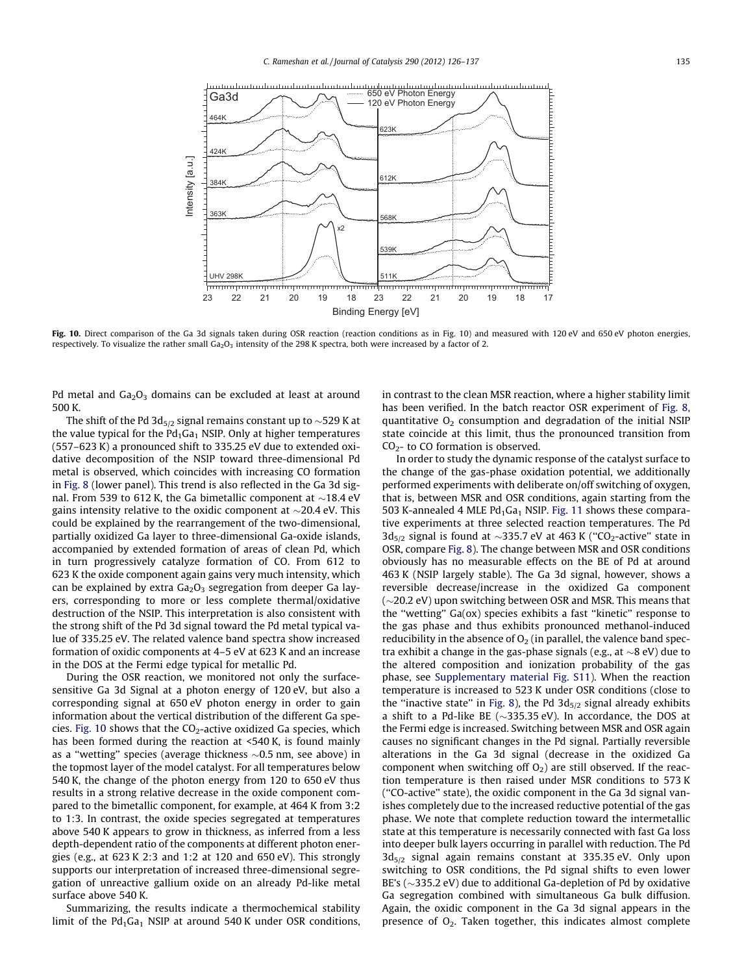<span id="page-9-0"></span>

Fig. 10. Direct comparison of the Ga 3d signals taken during OSR reaction (reaction conditions as in Fig. 10) and measured with 120 eV and 650 eV photon energies, respectively. To visualize the rather small Ga<sub>2</sub>O<sub>3</sub> intensity of the 298 K spectra, both were increased by a factor of 2.

Pd metal and  $Ga<sub>2</sub>O<sub>3</sub>$  domains can be excluded at least at around 500 K.

The shift of the Pd 3d<sub>5/2</sub> signal remains constant up to  $\sim$ 529 K at the value typical for the  $Pd_1Ga_1$  NSIP. Only at higher temperatures (557–623 K) a pronounced shift to 335.25 eV due to extended oxidative decomposition of the NSIP toward three-dimensional Pd metal is observed, which coincides with increasing CO formation in [Fig. 8](#page-6-0) (lower panel). This trend is also reflected in the Ga 3d signal. From 539 to 612 K, the Ga bimetallic component at  ${\sim}18.4$  eV gains intensity relative to the oxidic component at  ${\sim}20.4$  eV. This could be explained by the rearrangement of the two-dimensional, partially oxidized Ga layer to three-dimensional Ga-oxide islands, accompanied by extended formation of areas of clean Pd, which in turn progressively catalyze formation of CO. From 612 to 623 K the oxide component again gains very much intensity, which can be explained by extra  $Ga<sub>2</sub>O<sub>3</sub>$  segregation from deeper Ga layers, corresponding to more or less complete thermal/oxidative destruction of the NSIP. This interpretation is also consistent with the strong shift of the Pd 3d signal toward the Pd metal typical value of 335.25 eV. The related valence band spectra show increased formation of oxidic components at 4–5 eV at 623 K and an increase in the DOS at the Fermi edge typical for metallic Pd.

During the OSR reaction, we monitored not only the surfacesensitive Ga 3d Signal at a photon energy of 120 eV, but also a corresponding signal at 650 eV photon energy in order to gain information about the vertical distribution of the different Ga species. Fig. 10 shows that the  $CO<sub>2</sub>$ -active oxidized Ga species, which has been formed during the reaction at <540 K, is found mainly as a "wetting" species (average thickness  $\sim$ 0.5 nm, see above) in the topmost layer of the model catalyst. For all temperatures below 540 K, the change of the photon energy from 120 to 650 eV thus results in a strong relative decrease in the oxide component compared to the bimetallic component, for example, at 464 K from 3:2 to 1:3. In contrast, the oxide species segregated at temperatures above 540 K appears to grow in thickness, as inferred from a less depth-dependent ratio of the components at different photon energies (e.g., at 623 K 2:3 and 1:2 at 120 and 650 eV). This strongly supports our interpretation of increased three-dimensional segregation of unreactive gallium oxide on an already Pd-like metal surface above 540 K.

Summarizing, the results indicate a thermochemical stability limit of the  $Pd_1Ga_1$  NSIP at around 540 K under OSR conditions, in contrast to the clean MSR reaction, where a higher stability limit has been verified. In the batch reactor OSR experiment of [Fig. 8,](#page-6-0) quantitative  $O<sub>2</sub>$  consumption and degradation of the initial NSIP state coincide at this limit, thus the pronounced transition from  $CO<sub>2</sub>$ - to CO formation is observed.

In order to study the dynamic response of the catalyst surface to the change of the gas-phase oxidation potential, we additionally performed experiments with deliberate on/off switching of oxygen, that is, between MSR and OSR conditions, again starting from the 503 K-annealed 4 MLE  $Pd_1Ga_1$  NSIP. [Fig. 11](#page-10-0) shows these comparative experiments at three selected reaction temperatures. The Pd 3d<sub>5/2</sub> signal is found at  $\sim$ 335.7 eV at 463 K ("CO<sub>2</sub>-active" state in OSR, compare [Fig. 8](#page-6-0)). The change between MSR and OSR conditions obviously has no measurable effects on the BE of Pd at around 463 K (NSIP largely stable). The Ga 3d signal, however, shows a reversible decrease/increase in the oxidized Ga component ( $\sim$ 20.2 eV) upon switching between OSR and MSR. This means that the ''wetting'' Ga(ox) species exhibits a fast ''kinetic'' response to the gas phase and thus exhibits pronounced methanol-induced reducibility in the absence of  $O<sub>2</sub>$  (in parallel, the valence band spectra exhibit a change in the gas-phase signals (e.g., at  ${\sim}8$  eV) due to the altered composition and ionization probability of the gas phase, see Supplementary material Fig. S11). When the reaction temperature is increased to 523 K under OSR conditions (close to the "inactive state" in [Fig. 8](#page-6-0)), the Pd  $3d_{5/2}$  signal already exhibits a shift to a Pd-like BE ( $\sim$ 335.35 eV). In accordance, the DOS at the Fermi edge is increased. Switching between MSR and OSR again causes no significant changes in the Pd signal. Partially reversible alterations in the Ga 3d signal (decrease in the oxidized Ga component when switching off  $O<sub>2</sub>$ ) are still observed. If the reaction temperature is then raised under MSR conditions to 573 K (''CO-active'' state), the oxidic component in the Ga 3d signal vanishes completely due to the increased reductive potential of the gas phase. We note that complete reduction toward the intermetallic state at this temperature is necessarily connected with fast Ga loss into deeper bulk layers occurring in parallel with reduction. The Pd  $3d_{5/2}$  signal again remains constant at 335.35 eV. Only upon switching to OSR conditions, the Pd signal shifts to even lower BE's ( $\sim$ 335.2 eV) due to additional Ga-depletion of Pd by oxidative Ga segregation combined with simultaneous Ga bulk diffusion. Again, the oxidic component in the Ga 3d signal appears in the presence of  $O_2$ . Taken together, this indicates almost complete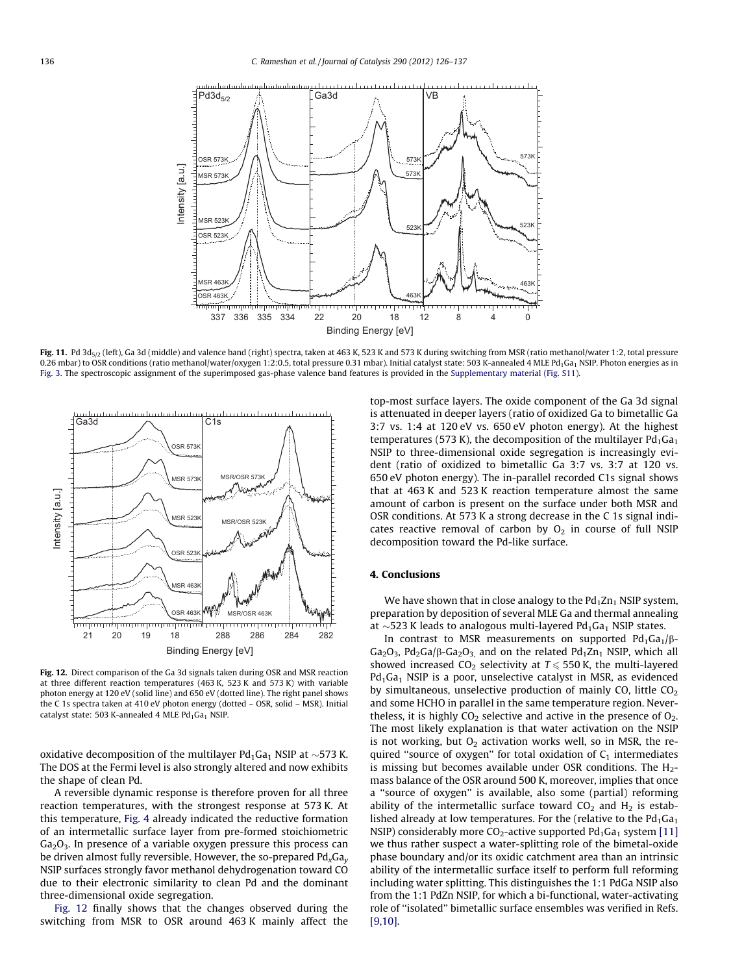<span id="page-10-0"></span>

Fig. 11. Pd 3d<sub>5/2</sub> (left), Ga 3d (middle) and valence band (right) spectra, taken at 463 K, 523 K and 573 K during switching from MSR (ratio methanol/water 1:2, total pressure 0.26 mbar) to OSR conditions (ratio methanol/water/oxygen 1:2:0.5, total pressure 0.31 mbar). Initial catalyst state: 503 K-annealed 4 MLE Pd<sub>1</sub>Ga<sub>1</sub> NSIP. Photon energies as in [Fig. 3](#page-3-0). The spectroscopic assignment of the superimposed gas-phase valence band features is provided in the Supplementary material (Fig. S11).



Fig. 12. Direct comparison of the Ga 3d signals taken during OSR and MSR reaction at three different reaction temperatures (463 K, 523 K and 573 K) with variable photon energy at 120 eV (solid line) and 650 eV (dotted line). The right panel shows the C 1s spectra taken at 410 eV photon energy (dotted – OSR, solid – MSR). Initial catalyst state: 503 K-annealed 4 MLE  $Pd_1Ga_1$  NSIP.

oxidative decomposition of the multilayer Pd $_1$ Ga $_1$  NSIP at  $\sim$ 573 K. The DOS at the Fermi level is also strongly altered and now exhibits the shape of clean Pd.

A reversible dynamic response is therefore proven for all three reaction temperatures, with the strongest response at 573 K. At this temperature, [Fig. 4](#page-4-0) already indicated the reductive formation of an intermetallic surface layer from pre-formed stoichiometric  $Ga<sub>2</sub>O<sub>3</sub>$ . In presence of a variable oxygen pressure this process can be driven almost fully reversible. However, the so-prepared  $Pd_{x}Ga_{y}$ NSIP surfaces strongly favor methanol dehydrogenation toward CO due to their electronic similarity to clean Pd and the dominant three-dimensional oxide segregation.

Fig. 12 finally shows that the changes observed during the switching from MSR to OSR around 463 K mainly affect the top-most surface layers. The oxide component of the Ga 3d signal is attenuated in deeper layers (ratio of oxidized Ga to bimetallic Ga 3:7 vs. 1:4 at 120 eV vs. 650 eV photon energy). At the highest temperatures (573 K), the decomposition of the multilayer  $Pd_1Ga_1$ NSIP to three-dimensional oxide segregation is increasingly evident (ratio of oxidized to bimetallic Ga 3:7 vs. 3:7 at 120 vs. 650 eV photon energy). The in-parallel recorded C1s signal shows that at 463 K and 523 K reaction temperature almost the same amount of carbon is present on the surface under both MSR and OSR conditions. At 573 K a strong decrease in the C 1s signal indicates reactive removal of carbon by  $O<sub>2</sub>$  in course of full NSIP decomposition toward the Pd-like surface.

# 4. Conclusions

We have shown that in close analogy to the  $Pd_1Zn_1$  NSIP system, preparation by deposition of several MLE Ga and thermal annealing at  $\sim$ 523 K leads to analogous multi-layered Pd<sub>1</sub>Ga<sub>1</sub> NSIP states.

In contrast to MSR measurements on supported  $Pd_1Ga_1/\beta$ -Ga<sub>2</sub>O<sub>3</sub>, Pd<sub>2</sub>Ga/ $\beta$ -Ga<sub>2</sub>O<sub>3</sub> and on the related Pd<sub>1</sub>Zn<sub>1</sub> NSIP, which all showed increased CO<sub>2</sub> selectivity at  $T \le 550$  K, the multi-layered  $Pd_1Ga_1$  NSIP is a poor, unselective catalyst in MSR, as evidenced by simultaneous, unselective production of mainly CO, little  $CO<sub>2</sub>$ and some HCHO in parallel in the same temperature region. Nevertheless, it is highly  $CO<sub>2</sub>$  selective and active in the presence of  $O<sub>2</sub>$ . The most likely explanation is that water activation on the NSIP is not working, but  $O_2$  activation works well, so in MSR, the required "source of oxygen" for total oxidation of  $C_1$  intermediates is missing but becomes available under OSR conditions. The  $H_2$ mass balance of the OSR around 500 K, moreover, implies that once a ''source of oxygen'' is available, also some (partial) reforming ability of the intermetallic surface toward  $CO<sub>2</sub>$  and  $H<sub>2</sub>$  is established already at low temperatures. For the (relative to the  $Pd_1Ga_1$ NSIP) considerably more  $CO_2$ -active supported Pd<sub>1</sub>Ga<sub>1</sub> system [\[11\]](#page-11-0) we thus rather suspect a water-splitting role of the bimetal-oxide phase boundary and/or its oxidic catchment area than an intrinsic ability of the intermetallic surface itself to perform full reforming including water splitting. This distinguishes the 1:1 PdGa NSIP also from the 1:1 PdZn NSIP, for which a bi-functional, water-activating role of ''isolated'' bimetallic surface ensembles was verified in Refs. [\[9,10\].](#page-11-0)